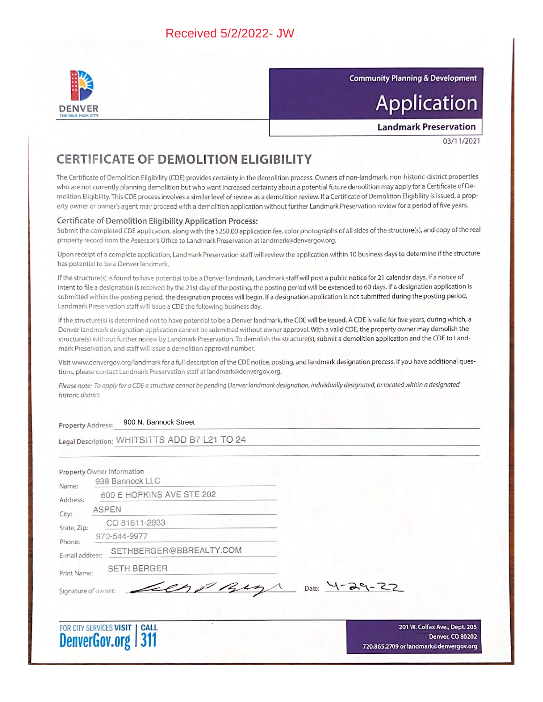

**Community Planning & Development** 

# **Application**

**Landmark Preservation** 

03/11/2021

## **CERTIFICATE OF DEMOLITION ELIGIBILITY**

The Certificate of Demolition Eligibility (CDE) provides certainty in the demolition process. Owners of non-landmark, non-historic-district properties who are not currently planning demolition but who want increased certainty about a potential future demolition may apply for a Certificate of Demolition Eligibility. This CDE process involves a similar level of review as a demolition review. If a Certificate of Demolition Eligibility is issued, a property owner or owner's agent may proceed with a demolition application without further Landmark Preservation review for a period of five years.

### Certificate of Demolition Eligibility Application Process:

Submit the completed CDE application, along with the \$250.00 application fee, color photographs of all sides of the structure(s), and copy of the real property record from the Assessor's Office to Landmark Preservation at landmark@denvergov.org.

Upon receipt of a complete application, Landmark Preservation staff will review the application within 10 business days to determine if the structure has potential to be a Denver landmark.

If the structure(s) is found to have potential to be a Denver landmark, Landmark staff will post a public notice for 21 calendar days. If a notice of intent to file a designation is received by the 21st day of the posting, the posting period will be extended to 60 days. If a designation application is submitted within the posting period, the designation process will begin. If a designation application is not submitted during the posting period, Landmark Preservation staff will issue a CDE the following business day.

If the structure(s) is determined not to have potential to be a Denver landmark, the CDE will be issued. A CDE is valid for five years, during which, a Denver landmark designation application cannot be submitted without owner approval. With a valid CDE, the property owner may demolish the structure(s) without further review by Landmark Preservation. To demolish the structure(s), submit a demolition application and the CDE to Landmark Preservation, and staff will issue a demolition approval number.

Visit www.denvergov.org/landmark for a full description of the CDE notice, posting, and landmark designation process. If you have additional questions, please contact Landmark Preservation staff at landmark@denvergov.org.

Please note: To apply for a CDE a structure cannot be pending Denver landmark designation, individually designated, or located within a designated historic district.

900 N. Bannock Street Property Address:

Legal Description: WHITSITTS ADD B7 L21 TO 24

| Name:                     | 600 E HOPKINS AVE STE 202     |                     |
|---------------------------|-------------------------------|---------------------|
| Address:<br>City:         | <b>ASPEN</b>                  |                     |
| State, Zip:               | CO 81611-2933<br>970-544-9977 |                     |
| Phone:<br>E-mail address: | SETHBERGER@BBREALTY.COM       |                     |
| Print Name:               | <b>SETH BERGER</b>            |                     |
| Signature of owner:       | Leen pay                      | Date: $4 - 29 - 22$ |



201 W. Colfax Ave., Dept. 205 **Denver, CO 80202** 720.865.2709 or landmark@denvergov.org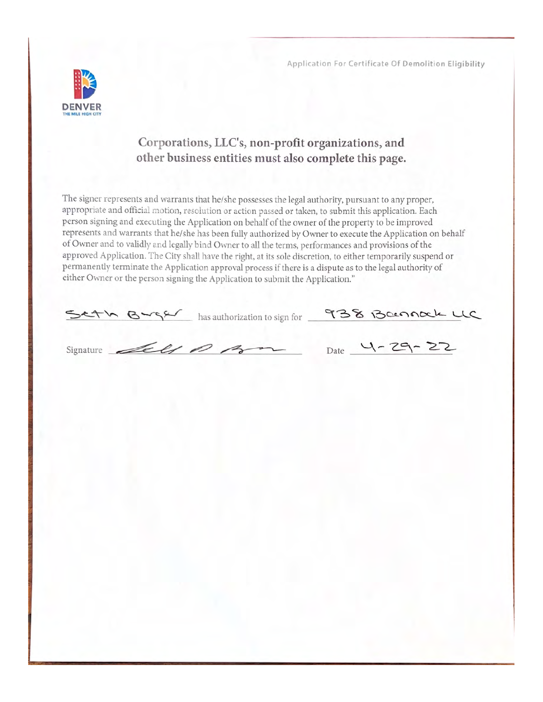

## Corporations, LLC's, non-profit organizations, and other business entities must also complete this page.

The signer represents and warrants that he/she possesses the legal authority, pursuant to any proper, appropriate and official motion, resolution or action passed or taken, to submit this application. Each person signing and executing the Application on behalf of the owner of the property to be improved represents and warrants that he/she has been fully authorized by Owner to execute the Application on behalf of Owner and to validly and legally bind Owner to all the terms, performances and provisions of the approved Application. The City shall have the right, at its sole discretion, to either temporarily suspend or permanently terminate the Application approval process if there is a dispute as to the legal authority of either Owner or the person signing the Application to submit the Application."

|                     | Seth Burger has authorization to sign for 938 Bannack LC |  |
|---------------------|----------------------------------------------------------|--|
| Signature dell 1 Am | Date $4 - 29 - 22$                                       |  |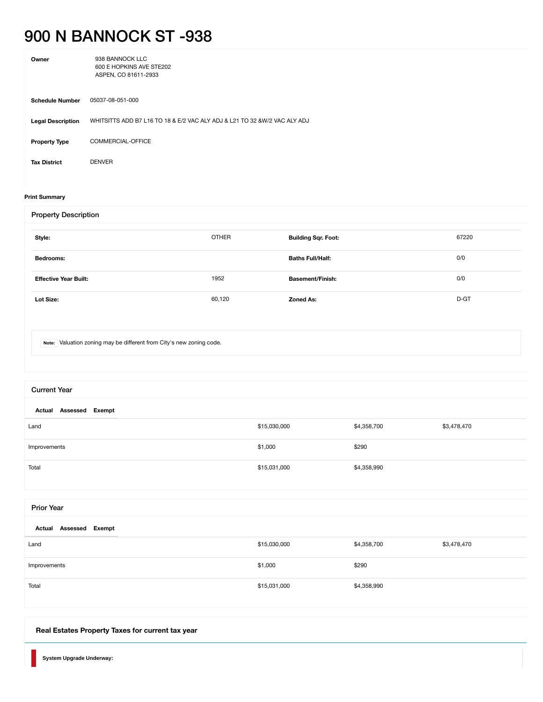## 900 N BANNOCK ST -938

| Owner                    | 938 BANNOCK LLC<br>600 E HOPKINS AVE STE202<br>ASPEN, CO 81611-2933        |
|--------------------------|----------------------------------------------------------------------------|
| <b>Schedule Number</b>   | 05037-08-051-000                                                           |
| <b>Legal Description</b> | WHITSITTS ADD B7 L16 TO 18 & E/2 VAC ALY ADJ & L21 TO 32 & W/2 VAC ALY ADJ |
| <b>Property Type</b>     | COMMERCIAL-OFFICE                                                          |
| <b>Tax District</b>      | <b>DENVER</b>                                                              |

#### **[Print Summary](javascript:window.print();)**

| <b>Property Description</b>                                          |              |                            |       |
|----------------------------------------------------------------------|--------------|----------------------------|-------|
| Style:                                                               | <b>OTHER</b> | <b>Building Sqr. Foot:</b> | 67220 |
| Bedrooms:                                                            |              | <b>Baths Full/Half:</b>    | 0/0   |
| <b>Effective Year Built:</b>                                         | 1952         | <b>Basement/Finish:</b>    | 0/0   |
| Lot Size:                                                            | 60,120       | <b>Zoned As:</b>           | D-GT  |
|                                                                      |              |                            |       |
| Note: Valuation zoning may be different from City's new zoning code. |              |                            |       |

| <b>Current Year</b>       |              |             |             |  |
|---------------------------|--------------|-------------|-------------|--|
| Actual Assessed Exempt    |              |             |             |  |
| Land                      | \$15,030,000 | \$4,358,700 | \$3,478,470 |  |
| Improvements              | \$1,000      | \$290       |             |  |
| Total                     | \$15,031,000 | \$4,358,990 |             |  |
|                           |              |             |             |  |
| <b>Prior Year</b>         |              |             |             |  |
| Assessed Exempt<br>Actual |              |             |             |  |
| Land                      | \$15,030,000 | \$4,358,700 | \$3,478,470 |  |
| Improvements              | \$1,000      | \$290       |             |  |
| Total                     | \$15,031,000 | \$4,358,990 |             |  |

## <span id="page-2-0"></span>**[Real Estates Property Taxes for current tax year](#page-2-0)**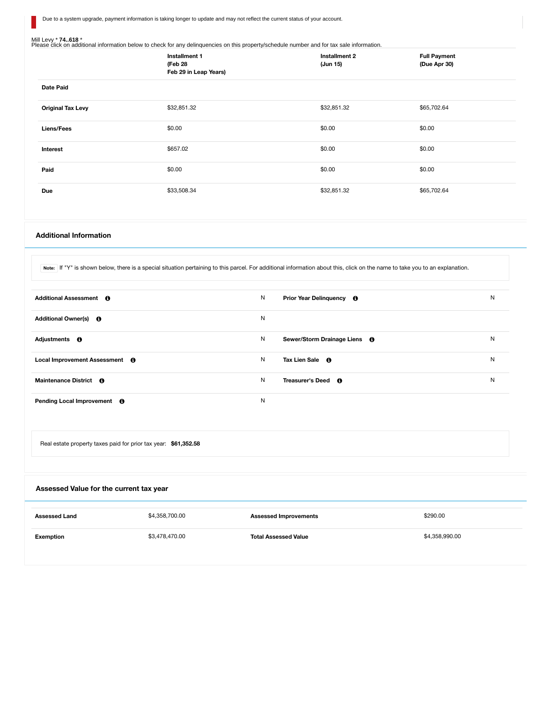Due to a system upgrade, payment information is taking longer to update and may not reflect the current status of your account.

П

Mill Levy \* 74..618 \*<br>Please click on additional information below to check for any delinquencies on this property/schedule number and for tax sale information.

|                          | Installment 1<br>(Feb 28<br>Feb 29 in Leap Years) | Installment 2<br>(Jun 15) | <b>Full Payment</b><br>(Due Apr 30) |
|--------------------------|---------------------------------------------------|---------------------------|-------------------------------------|
| <b>Date Paid</b>         |                                                   |                           |                                     |
| <b>Original Tax Levy</b> | \$32,851.32                                       | \$32,851.32               | \$65,702.64                         |
| Liens/Fees               | \$0.00                                            | \$0.00                    | \$0.00                              |
| Interest                 | \$657.02                                          | \$0.00                    | \$0.00                              |
| Paid                     | \$0.00                                            | \$0.00                    | \$0.00                              |
| <b>Due</b>               | \$33,508.34                                       | \$32,851.32               | \$65,702.64                         |

#### <span id="page-3-0"></span>**[Additional Information](#page-3-0)**

Note: If "Y" is shown below, there is a special situation pertaining to this parcel. For additional information about this, click on the name to take you to an explanation.

| Additional Assessment 6               | N<br>Prior Year Delinquency <b>6</b>     | N |
|---------------------------------------|------------------------------------------|---|
| Additional Owner(s) <b>O</b>          | N                                        |   |
| Adjustments <b>O</b>                  | N<br>Sewer/Storm Drainage Liens <b>6</b> | N |
| Local Improvement Assessment <b>O</b> | N<br>Tax Lien Sale <b>O</b>              | N |
| Maintenance District <b>6</b>         | N<br>Treasurer's Deed <b>O</b>           | N |
| Pending Local Improvement <b>O</b>    | N                                        |   |

Real estate property taxes paid for prior tax year: **\$61,352.58**

<span id="page-3-1"></span>

| Assessed Value for the current tax year |                |                              |                |
|-----------------------------------------|----------------|------------------------------|----------------|
| <b>Assessed Land</b>                    | \$4,358,700.00 | <b>Assessed Improvements</b> | \$290.00       |
| Exemption                               | \$3,478,470.00 | <b>Total Assessed Value</b>  | \$4,358,990.00 |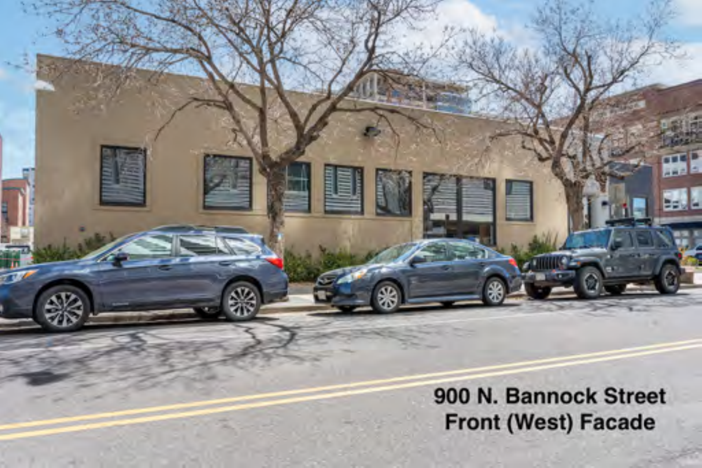900 N. Bannock Street **Front (West) Facade**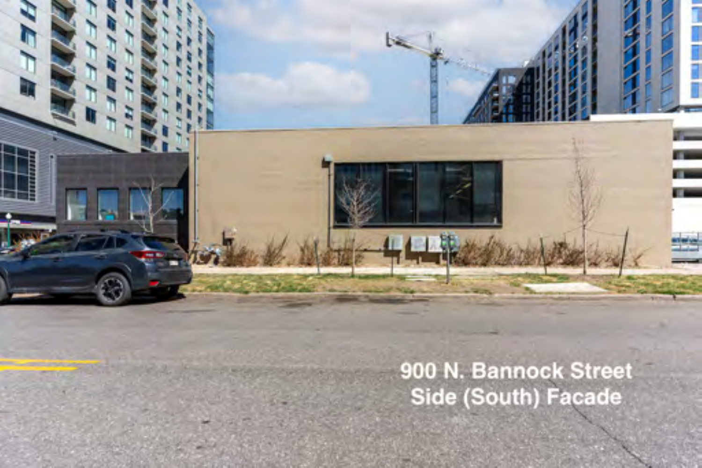900 N. Bannock Street Side (South) Facade

Ē

 $\overline{7}$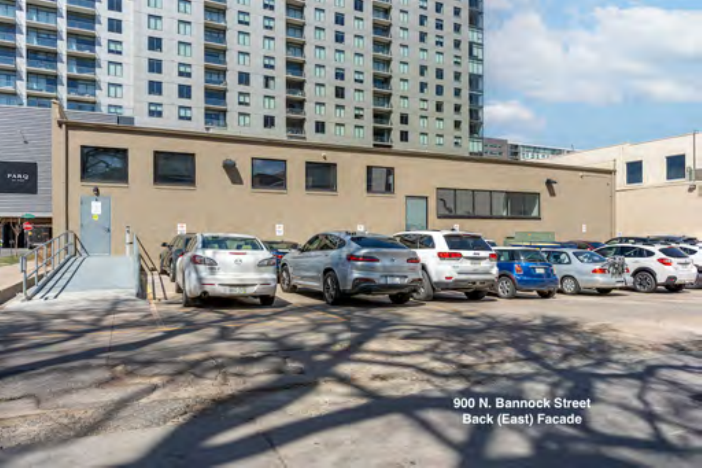900 N. Bannock Street **Back (East) Facade** 

**TESTE** 

п ū m

г

÷

PARO

m

**IEE** 

П